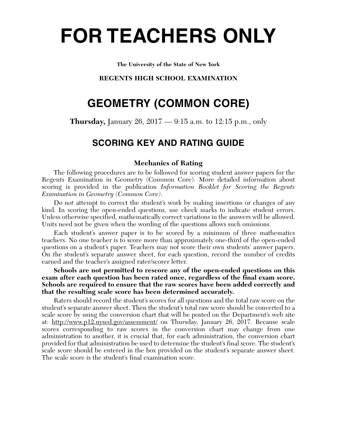# **FOR TEACHERS ONLY**

**The University of the State of New York**

# **REGENTS HIGH SCHOOL EXAMINATION**

# **GEOMETRY (COMMON CORE)**

**Thursday,** January 26, 2017 — 9:15 a.m. to 12:15 p.m., only

# **SCORING KEY AND RATING GUIDE**

# **Mechanics of Rating**

The following procedures are to be followed for scoring student answer papers for the Regents Examination in Geometry (Common Core). More detailed information about scoring is provided in the publication *Information Booklet for Scoring the Regents Examination in Geometry (Common Core)*.

Do *not* attempt to correct the student's work by making insertions or changes of any kind. In scoring the open-ended questions, use check marks to indicate student errors. Unless otherwise specified, mathematically correct variations in the answers will be allowed. Units need not be given when the wording of the questions allows such omissions.

Each student's answer paper is to be scored by a minimum of three mathematics teachers. No one teacher is to score more than approximately one-third of the open-ended questions on a student's paper. Teachers may not score their own students' answer papers. On the student's separate answer sheet, for each question, record the number of credits earned and the teacher's assigned rater/scorer letter.

**Schools are not permitted to rescore any of the open-ended questions on this exam after each question has been rated once, regardless of the final exam score. Schools are required to ensure that the raw scores have been added correctly and that the resulting scale score has been determined accurately.**

Raters should record the student's scores for all questions and the total raw score on the student's separate answer sheet. Then the student's total raw score should be converted to a scale score by using the conversion chart that will be posted on the Department's web site at: http://www.p12.nysed.gov/assessment/ on Thursday, January 26, 2017. Because scale scores corresponding to raw scores in the conversion chart may change from one administration to another, it is crucial that, for each administration, the conversion chart provided for that administration be used to determine the student's final score. The student's scale score should be entered in the box provided on the student's separate answer sheet. The scale score is the student's final examination score.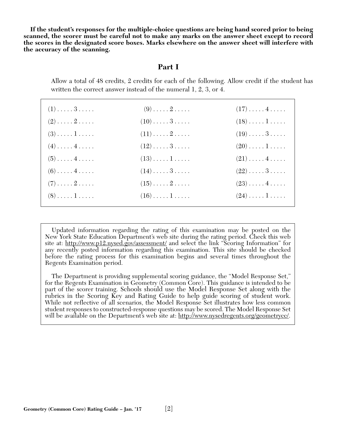**If the student's responses for the multiple-choice questions are being hand scored prior to being scanned, the scorer must be careful not to make any marks on the answer sheet except to record the scores in the designated score boxes. Marks elsewhere on the answer sheet will interfere with the accuracy of the scanning.**

# **Part I**

Allow a total of 48 credits, 2 credits for each of the following. Allow credit if the student has written the correct answer instead of the numeral 1, 2, 3, or 4.

| $(1) \ldots \ldots 3 \ldots$ | $(9) \ldots \ldots 2 \ldots$         | $(17)\ldots(4\ldots)$             |
|------------------------------|--------------------------------------|-----------------------------------|
| $(2) \ldots \ldots 2 \ldots$ | $(10) \ldots \ldots 3 \ldots \ldots$ | $(18)\ldots\ldots\ldots$          |
| $(3) \ldots \ldots 1 \ldots$ | $(11)\ldots 2 \ldots$                | $(19)\ldots\ldots\,3\ldots\ldots$ |
| $(4) \ldots \ldots 4 \ldots$ | $(12)\ldots\ldots 3\ldots$           | $(20)\ldots\ldots\,1\ldots\ldots$ |
| $(5) \ldots \ldots 4 \ldots$ | $(13)\ldots\ldots\,1\ldots\ldots$    | $(21)\ldots(4\ldots)$             |
| $(6) \ldots \ldots 4 \ldots$ | $(14)\ldots 3 \ldots$                | $(22)\ldots\ldots3\ldots$         |
| $(7) \ldots \ldots 2 \ldots$ | $(15)\ldots 2 \ldots$                | $(23) \ldots \ldots 4 \ldots$     |
| $(8) \ldots \ldots 1 \ldots$ | $(16)\ldots\ldots\ldots$             | $(24)\ldots\ldots\,1\ldots\ldots$ |

Updated information regarding the rating of this examination may be posted on the New York State Education Department's web site during the rating period. Check this web site at: http://www.p12.nysed.gov/assessment/ and select the link "Scoring Information" for any recently posted information regarding this examination. This site should be checked before the rating process for this examination begins and several times throughout the Regents Examination period.

The Department is providing supplemental scoring guidance, the "Model Response Set," for the Regents Examination in Geometry (Common Core). This guidance is intended to be part of the scorer training. Schools should use the Model Response Set along with the rubrics in the Scoring Key and Rating Guide to help guide scoring of student work. While not reflective of all scenarios, the Model Response Set illustrates how less common student responses to constructed-response questions may be scored. The Model Response Set will be available on the Department's web site at: http://www.nysedregents.org/geometrycc/.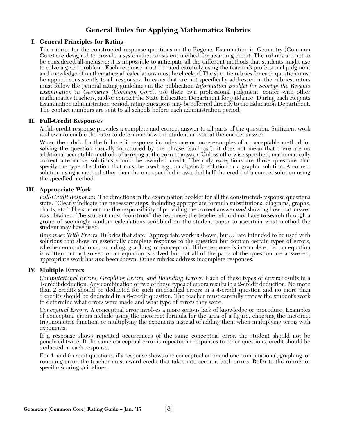# **General Rules for Applying Mathematics Rubrics**

## **I. General Principles for Rating**

The rubrics for the constructed-response questions on the Regents Examination in Geometry (Common Core) are designed to provide a systematic, consistent method for awarding credit. The rubrics are not to be considered all-inclusive; it is impossible to anticipate all the different methods that students might use to solve a given problem. Each response must be rated carefully using the teacher's professional judgment and knowledge of mathematics; all calculations must be checked. The specific rubrics for each question must be applied consistently to all responses. In cases that are not specifically addressed in the rubrics, raters must follow the general rating guidelines in the publication *Information Booklet for Scoring the Regents Examination in Geometry (Common Core)*, use their own professional judgment, confer with other mathematics teachers, and/or contact the State Education Department for guidance. During each Regents Examination administration period, rating questions may be referred directly to the Education Department. The contact numbers are sent to all schools before each administration period.

#### **II. Full-Credit Responses**

A full-credit response provides a complete and correct answer to all parts of the question. Sufficient work is shown to enable the rater to determine how the student arrived at the correct answer.

When the rubric for the full-credit response includes one or more examples of an acceptable method for solving the question (usually introduced by the phrase "such as"), it does not mean that there are no additional acceptable methods of arriving at the correct answer. Unless otherwise specified, mathematically correct alternative solutions should be awarded credit. The only exceptions are those questions that specify the type of solution that must be used; e.g., an algebraic solution or a graphic solution. A correct solution using a method other than the one specified is awarded half the credit of a correct solution using the specified method.

## **III. Appropriate Work**

*Full-Credit Responses:* The directions in the examination booklet for all the constructed-response questions state: "Clearly indicate the necessary steps, including appropriate formula substitutions, diagrams, graphs, charts, etc." The student has the responsibility of providing the correct answer *and* showing how that answer was obtained. The student must "construct" the response; the teacher should not have to search through a group of seemingly random calculations scribbled on the student paper to ascertain what method the student may have used.

*Responses With Errors:* Rubrics that state "Appropriate work is shown, but…" are intended to be used with solutions that show an essentially complete response to the question but contain certain types of errors, whether computational, rounding, graphing, or conceptual. If the response is incomplete; i.e., an equation is written but not solved or an equation is solved but not all of the parts of the question are answered, appropriate work has *not* been shown. Other rubrics address incomplete responses.

#### **IV. Multiple Errors**

*Computational Errors, Graphing Errors, and Rounding Errors:* Each of these types of errors results in a 1-credit deduction. Any combination of two of these types of errors results in a 2-credit deduction. No more than 2 credits should be deducted for such mechanical errors in a 4-credit question and no more than 3 credits should be deducted in a 6-credit question. The teacher must carefully review the student's work to determine what errors were made and what type of errors they were.

*Conceptual Errors:* A conceptual error involves a more serious lack of knowledge or procedure. Examples of conceptual errors include using the incorrect formula for the area of a figure, choosing the incorrect trigonometric function, or multiplying the exponents instead of adding them when multiplying terms with exponents.

If a response shows repeated occurrences of the same conceptual error, the student should not be penalized twice. If the same conceptual error is repeated in responses to other questions, credit should be deducted in each response.

For 4- and 6-credit questions, if a response shows one conceptual error and one computational, graphing, or rounding error, the teacher must award credit that takes into account both errors. Refer to the rubric for specific scoring guidelines.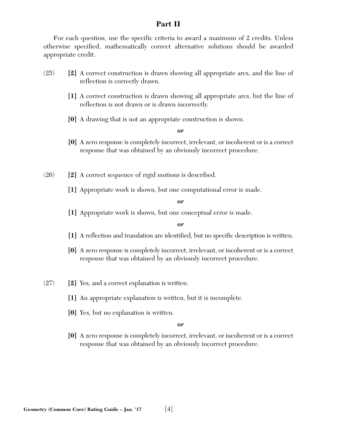# **Part II**

For each question, use the specific criteria to award a maximum of 2 credits. Unless otherwise specified, mathematically correct alternative solutions should be awarded appropriate credit.

- (25) **[2]** A correct construction is drawn showing all appropriate arcs, and the line of reflection is correctly drawn.
	- **[1]** A correct construction is drawn showing all appropriate arcs, but the line of reflection is not drawn or is drawn incorrectly.
	- **[0]** A drawing that is not an appropriate construction is shown.

*or*

- **[0]** A zero response is completely incorrect, irrelevant, or incoherent or is a correct response that was obtained by an obviously incorrect procedure.
- (26) **[2]** A correct sequence of rigid motions is described.
	- **[1]** Appropriate work is shown, but one computational error is made.

#### *or*

**[1]** Appropriate work is shown, but one conceptual error is made.

#### *or*

- **[1]** A reflection and translation are identified, but no specific description is written.
- **[0]** A zero response is completely incorrect, irrelevant, or incoherent or is a correct response that was obtained by an obviously incorrect procedure.
- (27) **[2]** Yes, and a correct explanation is written.
	- **[1]** An appropriate explanation is written, but it is incomplete.
	- **[0]** Yes, but no explanation is written.

#### *or*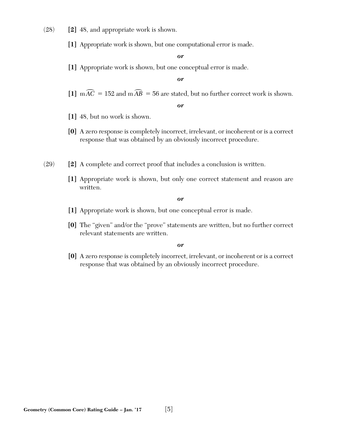- (28) **[2]** 48, and appropriate work is shown.
	- **[1]** Appropriate work is shown, but one computational error is made.

**[1]** Appropriate work is shown, but one conceptual error is made.

*or*

[1]  $m\widehat{AC} = 152$  and  $m\widehat{AB} = 56$  are stated, but no further correct work is shown.

*or*

- **[1]** 48, but no work is shown.
- **[0]** A zero response is completely incorrect, irrelevant, or incoherent or is a correct response that was obtained by an obviously incorrect procedure.
- (29) **[2]** A complete and correct proof that includes a conclusion is written.
	- **[1]** Appropriate work is shown, but only one correct statement and reason are written.

*or*

- **[1]** Appropriate work is shown, but one conceptual error is made.
- **[0]** The "given" and/or the "prove" statements are written, but no further correct relevant statements are written.

*or*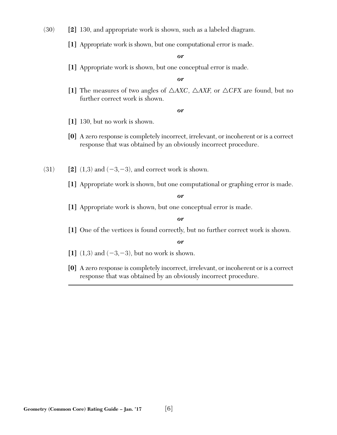(30) **[2]** 130, and appropriate work is shown, such as a labeled diagram.

**[1]** Appropriate work is shown, but one computational error is made.

*or*

**[1]** Appropriate work is shown, but one conceptual error is made.

*or*

[1] The measures of two angles of  $\triangle$ *AXC*,  $\triangle$ *AXF*, or  $\triangle$ *CFX* are found, but no further correct work is shown.

*or*

- **[1]** 130, but no work is shown.
- **[0]** A zero response is completely incorrect, irrelevant, or incoherent or is a correct response that was obtained by an obviously incorrect procedure.
- $(31)$  **[2]**  $(1,3)$  and  $(-3,-3)$ , and correct work is shown.
	- **[1]** Appropriate work is shown, but one computational or graphing error is made.

*or*

**[1]** Appropriate work is shown, but one conceptual error is made.

*or*

**[1]** One of the vertices is found correctly, but no further correct work is shown.

- [1]  $(1,3)$  and  $(-3,-3)$ , but no work is shown.
- **[0]** A zero response is completely incorrect, irrelevant, or incoherent or is a correct response that was obtained by an obviously incorrect procedure.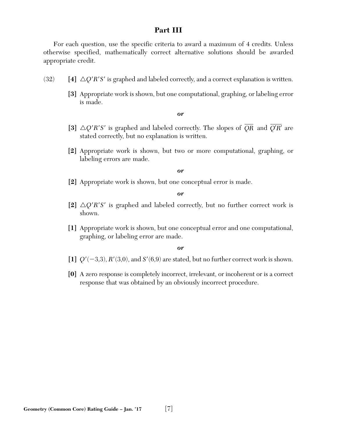# **Part III**

For each question, use the specific criteria to award a maximum of 4 credits. Unless otherwise specified, mathematically correct alternative solutions should be awarded appropriate credit.

- (32)  $[4] \triangle Q'R'S'$  is graphed and labeled correctly, and a correct explanation is written.
	- **[3]** Appropriate work is shown, but one computational, graphing, or labeling error is made.

#### *or*

- [3]  $\triangle Q'R'S'$  is graphed and labeled correctly. The slopes of  $\overline{QR}$  and  $\overline{Q'R'}$  are stated correctly, but no explanation is written.
- **[2]** Appropriate work is shown, but two or more computational, graphing, or labeling errors are made.

#### *or*

**[2]** Appropriate work is shown, but one conceptual error is made.

*or*

- [2]  $\triangle Q'R'S'$  is graphed and labeled correctly, but no further correct work is shown.
- **[1]** Appropriate work is shown, but one conceptual error and one computational, graphing, or labeling error are made.

- [1]  $Q'(-3,3)$ ,  $R'(3,0)$ , and  $S'(6,9)$  are stated, but no further correct work is shown.
- **[0]** A zero response is completely incorrect, irrelevant, or incoherent or is a correct response that was obtained by an obviously incorrect procedure.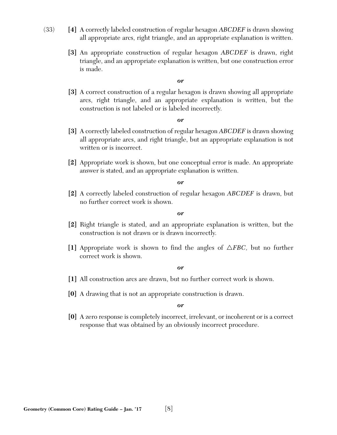- (33) **[4]** A correctly labeled construction of regular hexagon *ABCDEF* is drawn showing all appropriate arcs, right triangle, and an appropriate explanation is written.
	- **[3]** An appropriate construction of regular hexagon *ABCDEF* is drawn, right triangle, and an appropriate explanation is written, but one construction error is made.

**[3]** A correct construction of a regular hexagon is drawn showing all appropriate arcs, right triangle, and an appropriate explanation is written, but the construction is not labeled or is labeled incorrectly.

#### *or*

- **[3]** A correctly labeled construction of regular hexagon *ABCDEF* is drawn showing all appropriate arcs, and right triangle, but an appropriate explanation is not written or is incorrect.
- **[2]** Appropriate work is shown, but one conceptual error is made. An appropriate answer is stated, and an appropriate explanation is written.

#### *or*

**[2]** A correctly labeled construction of regular hexagon *ABCDEF* is drawn, but no further correct work is shown.

#### *or*

- **[2]** Right triangle is stated, and an appropriate explanation is written, but the construction is not drawn or is drawn incorrectly.
- [1] Appropriate work is shown to find the angles of  $\triangle FBC$ , but no further correct work is shown.

#### *or*

- **[1]** All construction arcs are drawn, but no further correct work is shown.
- **[0]** A drawing that is not an appropriate construction is drawn.

#### *or*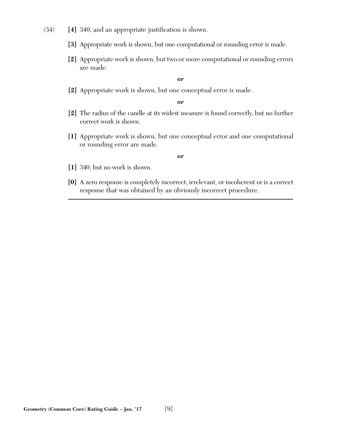- (34) **[4]** 340, and an appropriate justification is shown.
	- **[3]** Appropriate work is shown, but one computational or rounding error is made.
	- **[2]** Appropriate work is shown, but two or more computational or rounding errors are made.

**[2]** Appropriate work is shown, but one conceptual error is made.

#### *or*

- **[2]** The radius of the candle at its widest measure is found correctly, but no further correct work is shown.
- **[1]** Appropriate work is shown, but one conceptual error and one computational or rounding error are made.

- **[1]** 340, but no work is shown.
- **[0]** A zero response is completely incorrect, irrelevant, or incoherent or is a correct response that was obtained by an obviously incorrect procedure.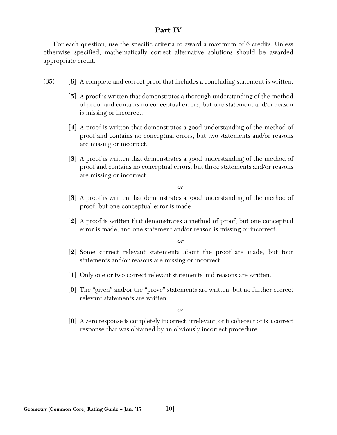# **Part IV**

For each question, use the specific criteria to award a maximum of 6 credits. Unless otherwise specified, mathematically correct alternative solutions should be awarded appropriate credit.

- (35) **[6]** A complete and correct proof that includes a concluding statement is written.
	- **[5]** A proof is written that demonstrates a thorough understanding of the method of proof and contains no conceptual errors, but one statement and/or reason is missing or incorrect.
	- **[4]** A proof is written that demonstrates a good understanding of the method of proof and contains no conceptual errors, but two statements and/or reasons are missing or incorrect.
	- **[3]** A proof is written that demonstrates a good understanding of the method of proof and contains no conceptual errors, but three statements and/or reasons are missing or incorrect.

*or*

- **[3]** A proof is written that demonstrates a good understanding of the method of proof, but one conceptual error is made.
- **[2]** A proof is written that demonstrates a method of proof, but one conceptual error is made, and one statement and/or reason is missing or incorrect.

*or*

- **[2]** Some correct relevant statements about the proof are made, but four statements and/or reasons are missing or incorrect.
- **[1]** Only one or two correct relevant statements and reasons are written.
- **[0]** The "given" and/or the "prove" statements are written, but no further correct relevant statements are written.

*or*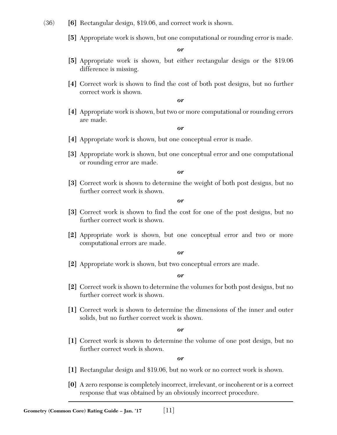- (36) **[6]** Rectangular design, \$19.06, and correct work is shown.
	- **[5]** Appropriate work is shown, but one computational or rounding error is made.

- **[5]** Appropriate work is shown, but either rectangular design or the \$19.06 difference is missing.
- **[4]** Correct work is shown to find the cost of both post designs, but no further correct work is shown.

*or*

**[4]** Appropriate work is shown, but two or more computational or rounding errors are made.

*or*

- **[4]** Appropriate work is shown, but one conceptual error is made.
- **[3]** Appropriate work is shown, but one conceptual error and one computational or rounding error are made.

*or*

**[3]** Correct work is shown to determine the weight of both post designs, but no further correct work is shown.

*or*

- **[3]** Correct work is shown to find the cost for one of the post designs, but no further correct work is shown.
- **[2]** Appropriate work is shown, but one conceptual error and two or more computational errors are made.

*or*

**[2]** Appropriate work is shown, but two conceptual errors are made.

*or*

- **[2]** Correct work is shown to determine the volumes for both post designs, but no further correct work is shown.
- **[1]** Correct work is shown to determine the dimensions of the inner and outer solids, but no further correct work is shown.

*or*

**[1]** Correct work is shown to determine the volume of one post design, but no further correct work is shown.

- **[1]** Rectangular design and \$19.06, but no work or no correct work is shown.
- **[0]** A zero response is completely incorrect, irrelevant, or incoherent or is a correct response that was obtained by an obviously incorrect procedure.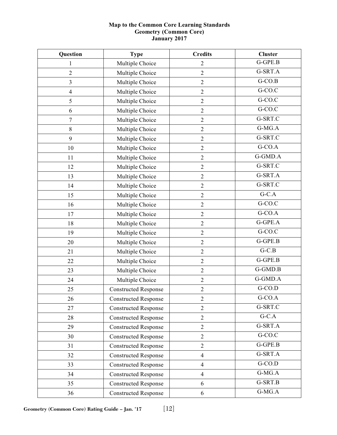# **Map to the Common Core Learning Standards Geometry (Common Core) January 2017**

| Question         | <b>Type</b>                 | <b>Credits</b>   | <b>Cluster</b>       |
|------------------|-----------------------------|------------------|----------------------|
| 1                | Multiple Choice             | $\mathbf{2}$     | G-GPE.B              |
| $\overline{2}$   | Multiple Choice             | $\overline{2}$   | G-SRT.A              |
| 3                | Multiple Choice             | $\overline{2}$   | $G-CO.B$             |
| $\overline{4}$   | Multiple Choice             | $\mathfrak{2}$   | $G-CO.C$             |
| 5                | Multiple Choice             | $\sqrt{2}$       | $G-CO.C$             |
| 6                | Multiple Choice             | $\overline{2}$   | G-CO.C               |
| $\boldsymbol{7}$ | Multiple Choice             | $\overline{2}$   | G-SRT.C              |
| $\,$ 8 $\,$      | Multiple Choice             | $\overline{2}$   | G-MG.A               |
| 9                | Multiple Choice             | $\overline{2}$   | G-SRT.C              |
| 10               | Multiple Choice             | $\overline{2}$   | $G-CO.A$             |
| 11               | Multiple Choice             | $\overline{2}$   | $G-GMD.A$            |
| 12               | Multiple Choice             | $\mathbf{2}$     | G-SRT.C              |
| 13               | Multiple Choice             | $\overline{2}$   | G-SRT.A              |
| 14               | Multiple Choice             | $\overline{2}$   | G-SRT.C              |
| 15               | Multiple Choice             | $\mathbf{2}$     | $G-C.A$              |
| 16               | Multiple Choice             | $\overline{2}$   | G-CO.C               |
| 17               | Multiple Choice             | $\overline{2}$   | $G-CO.A$             |
| 18               | Multiple Choice             | $\overline{2}$   | $G-GPE.A$            |
| 19               | Multiple Choice             | $\mathbf{2}$     | G-CO.C               |
| 20               | Multiple Choice             | $\overline{2}$   | G-GPE.B              |
| 21               | Multiple Choice             | $\overline{2}$   | $G-C.B$              |
| 22               | Multiple Choice             | $\mathbf{2}$     | $G-GPE.B$            |
| 23               | Multiple Choice             | $\overline{2}$   | G-GMD.B              |
| 24               | Multiple Choice             | $\sqrt{2}$       | G-GMD.A              |
| 25               | <b>Constructed Response</b> | $\overline{2}$   | $G-CO.D$             |
| 26               | <b>Constructed Response</b> | $\sqrt{2}$       | G-CO.A               |
| 27               | <b>Constructed Response</b> | $\overline{2}$   | G-SRT.C              |
| 28               | <b>Constructed Response</b> | $\mathbf{2}$     | $G-C.A$              |
| 29               | <b>Constructed Response</b> | $\overline{2}$   | G-SRT.A              |
| 30               | <b>Constructed Response</b> | $\overline{2}$   | G-CO.C               |
| 31               | <b>Constructed Response</b> | $\mathbf{2}$     | G-GPE.B              |
| 32               | <b>Constructed Response</b> | $\overline{4}$   | G-SRT.A              |
| 33               | <b>Constructed Response</b> | $\overline{4}$   | $G-CO.D$             |
| 34               | <b>Constructed Response</b> | $\overline{4}$   | $G-MG.A$             |
| 35               | <b>Constructed Response</b> | 6                | G-SRT.B              |
| 36               | <b>Constructed Response</b> | $\boldsymbol{6}$ | $\overline{G}$ -MG.A |